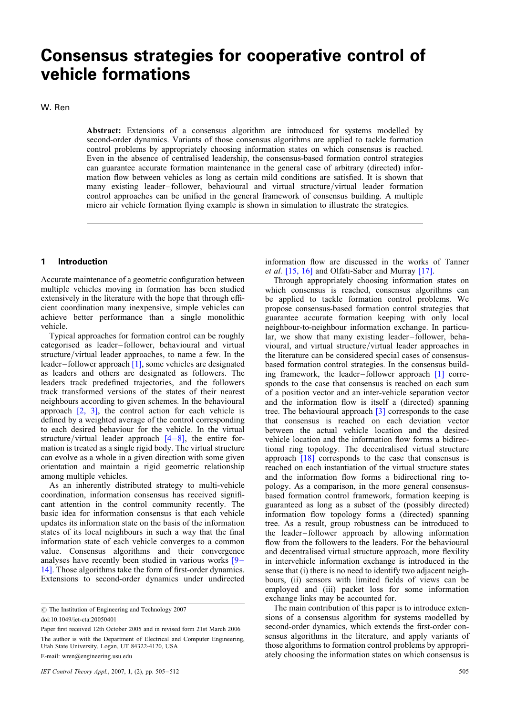# Consensus strategies for cooperative control of vehicle formations

W. Ren

Abstract: Extensions of a consensus algorithm are introduced for systems modelled by second-order dynamics. Variants of those consensus algorithms are applied to tackle formation control problems by appropriately choosing information states on which consensus is reached. Even in the absence of centralised leadership, the consensus-based formation control strategies can guarantee accurate formation maintenance in the general case of arbitrary (directed) information flow between vehicles as long as certain mild conditions are satisfied. It is shown that many existing leader – follower, behavioural and virtual structure/virtual leader formation control approaches can be unified in the general framework of consensus building. A multiple micro air vehicle formation flying example is shown in simulation to illustrate the strategies.

# 1 Introduction

Accurate maintenance of a geometric configuration between multiple vehicles moving in formation has been studied extensively in the literature with the hope that through efficient coordination many inexpensive, simple vehicles can achieve better performance than a single monolithic vehicle.

Typical approaches for formation control can be roughly categorised as leader – follower, behavioural and virtual structure/virtual leader approaches, to name a few. In the leader – follower approach [\[1\],](#page-7-0) some vehicles are designated as leaders and others are designated as followers. The leaders track predefined trajectories, and the followers track transformed versions of the states of their nearest neighbours according to given schemes. In the behavioural approach  $[2, 3]$ , the control action for each vehicle is defined by a weighted average of the control corresponding to each desired behaviour for the vehicle. In the virtual structure/virtual leader approach  $[4-8]$ , the entire formation is treated as a single rigid body. The virtual structure can evolve as a whole in a given direction with some given orientation and maintain a rigid geometric relationship among multiple vehicles.

As an inherently distributed strategy to multi-vehicle coordination, information consensus has received significant attention in the control community recently. The basic idea for information consensus is that each vehicle updates its information state on the basis of the information states of its local neighbours in such a way that the final information state of each vehicle converges to a common value. Consensus algorithms and their convergence analyses have recently been studied in various works  $[9]$ [14\]](#page-7-0). Those algorithms take the form of first-order dynamics. Extensions to second-order dynamics under undirected

information flow are discussed in the works of Tanner et al. [\[15, 16\]](#page-7-0) and Olfati-Saber and Murray [\[17\].](#page-7-0)

Through appropriately choosing information states on which consensus is reached, consensus algorithms can be applied to tackle formation control problems. We propose consensus-based formation control strategies that guarantee accurate formation keeping with only local neighbour-to-neighbour information exchange. In particular, we show that many existing leader – follower, behavioural, and virtual structure/virtual leader approaches in the literature can be considered special cases of consensusbased formation control strategies. In the consensus build-ing framework, the leader-follower approach [\[1\]](#page-7-0) corresponds to the case that consensus is reached on each sum of a position vector and an inter-vehicle separation vector and the information flow is itself a (directed) spanning tree. The behavioural approach [\[3\]](#page-7-0) corresponds to the case that consensus is reached on each deviation vector between the actual vehicle location and the desired vehicle location and the information flow forms a bidirectional ring topology. The decentralised virtual structure approach [\[18\]](#page-7-0) corresponds to the case that consensus is reached on each instantiation of the virtual structure states and the information flow forms a bidirectional ring topology. As a comparison, in the more general consensusbased formation control framework, formation keeping is guaranteed as long as a subset of the (possibly directed) information flow topology forms a (directed) spanning tree. As a result, group robustness can be introduced to the leader – follower approach by allowing information flow from the followers to the leaders. For the behavioural and decentralised virtual structure approach, more flexility in intervehicle information exchange is introduced in the sense that (i) there is no need to identify two adjacent neighbours, (ii) sensors with limited fields of views can be employed and (iii) packet loss for some information exchange links may be accounted for.

The main contribution of this paper is to introduce extensions of a consensus algorithm for systems modelled by second-order dynamics, which extends the first-order consensus algorithms in the literature, and apply variants of those algorithms to formation control problems by appropriately choosing the information states on which consensus is

 $\circledR$  The Institution of Engineering and Technology 2007

doi:10.1049/iet-cta:20050401

Paper first received 12th October 2005 and in revised form 21st March 2006 The author is with the Department of Electrical and Computer Engineering, Utah State University, Logan, UT 84322-4120, USA E-mail: wren@engineering.usu.edu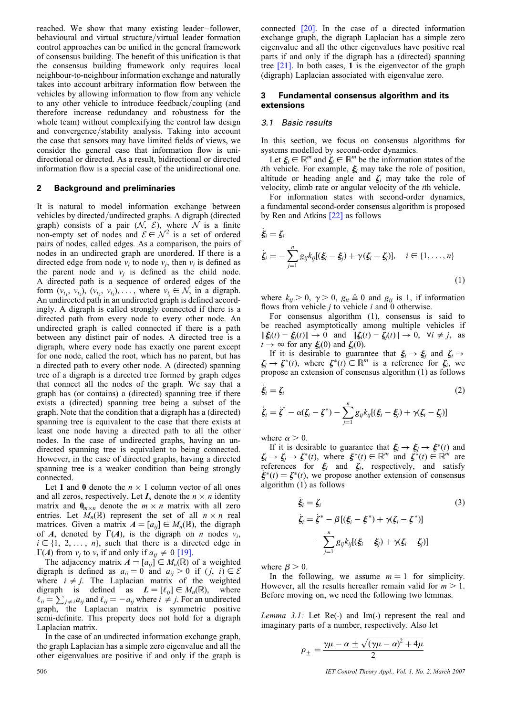reached. We show that many existing leader – follower, behavioural and virtual structure/virtual leader formation control approaches can be unified in the general framework of consensus building. The benefit of this unification is that the consensus building framework only requires local neighbour-to-neighbour information exchange and naturally takes into account arbitrary information flow between the vehicles by allowing information to flow from any vehicle to any other vehicle to introduce feedback/coupling (and therefore increase redundancy and robustness for the whole team) without complexifying the control law design and convergence/stability analysis. Taking into account the case that sensors may have limited fields of views, we consider the general case that information flow is unidirectional or directed. As a result, bidirectional or directed information flow is a special case of the unidirectional one.

# 2 Background and preliminaries

It is natural to model information exchange between vehicles by directed/undirected graphs. A digraph (directed graph) consists of a pair  $(N, \mathcal{E})$ , where N is a finite non-empty set of nodes and  $\mathcal{E} \in \mathcal{N}^2$  is a set of ordered pairs of nodes, called edges. As a comparison, the pairs of nodes in an undirected graph are unordered. If there is a directed edge from node  $v_i$  to node  $v_j$ , then  $v_i$  is defined as the parent node and  $v_j$  is defined as the child node. A directed path is a sequence of ordered edges of the form  $(v_{i_1}, v_{i_2}), (v_{i_2}, v_{i_3}), \ldots$ , where  $v_{i_j} \in \mathcal{N}$ , in a digraph. An undirected path in an undirected graph is defined accordingly. A digraph is called strongly connected if there is a directed path from every node to every other node. An undirected graph is called connected if there is a path between any distinct pair of nodes. A directed tree is a digraph, where every node has exactly one parent except for one node, called the root, which has no parent, but has a directed path to every other node. A (directed) spanning tree of a digraph is a directed tree formed by graph edges that connect all the nodes of the graph. We say that a graph has (or contains) a (directed) spanning tree if there exists a (directed) spanning tree being a subset of the graph. Note that the condition that a digraph has a (directed) spanning tree is equivalent to the case that there exists at least one node having a directed path to all the other nodes. In the case of undirected graphs, having an undirected spanning tree is equivalent to being connected. However, in the case of directed graphs, having a directed spanning tree is a weaker condition than being strongly connected.

Let 1 and 0 denote the  $n \times 1$  column vector of all ones and all zeros, respectively. Let  $I_n$  denote the  $n \times n$  identity matrix and  $\mathbf{0}_{m \times n}$  denote the  $m \times n$  matrix with all zero entries. Let  $M_n(\mathbb{R})$  represent the set of all  $n \times n$  real matrices. Given a matrix  $A = [a_{ij}] \in M_n(\mathbb{R})$ , the digraph of A, denoted by  $\Gamma(A)$ , is the digraph on n nodes  $v_i$ ,  $i \in \{1, 2, ..., n\}$ , such that there is a directed edge in  $\Gamma(A)$  from  $v_i$  to  $v_i$  if and only if  $a_{ii} \neq 0$  [\[19\]](#page-7-0).

The adjacency matrix  $A = [a_{ij}] \in M_n(\mathbb{R})$  of a weighted digraph is defined as  $a_{ii} = 0$  and  $a_{ij} > 0$  if  $(j, i) \in \mathcal{E}$ where  $i \neq j$ . The Laplacian matrix of the weighted digraph is defined as  $L = [\ell_{ij}] \in M_n(\mathbb{R})$ , where  $\ell_{ii} = \sum_{j \neq i} a_{ij}$  and  $\ell_{ij} = -a_{ij}$  where  $i \neq j$ . For an undirected graph, the Laplacian matrix is symmetric positive semi-definite. This property does not hold for a digraph Laplacian matrix.

In the case of an undirected information exchange graph, the graph Laplacian has a simple zero eigenvalue and all the other eigenvalues are positive if and only if the graph is connected [\[20\].](#page-7-0) In the case of a directed information exchange graph, the digraph Laplacian has a simple zero eigenvalue and all the other eigenvalues have positive real parts if and only if the digraph has a (directed) spanning tree  $[21]$ . In both cases, 1 is the eigenvector of the graph (digraph) Laplacian associated with eigenvalue zero.

# 3 Fundamental consensus algorithm and its extensions

# 3.1 Basic results

In this section, we focus on consensus algorithms for systems modelled by second-order dynamics.

Let  $\xi_i \in \mathbb{R}^m$  and  $\zeta_i \in \mathbb{R}^m$  be the information states of the ith vehicle. For example,  $\xi$  may take the role of position, altitude or heading angle and  $\zeta_i$  may take the role of velocity, climb rate or angular velocity of the ith vehicle.

For information states with second-order dynamics, a fundamental second-order consensus algorithm is proposed by Ren and Atkins [\[22\]](#page-7-0) as follows

$$
\dot{\xi}_i = \zeta_i
$$
\n
$$
\dot{\zeta}_i = -\sum_{j=1}^n g_{ij} k_{ij} [(\xi_i - \xi_j) + \gamma (\zeta_i - \zeta_j)], \quad i \in \{1, \dots, n\}
$$
\n(1)

where  $k_{ij} > 0$ ,  $\gamma > 0$ ,  $g_{ii} \triangleq 0$  and  $g_{ij}$  is 1, if information flows from vehicle  $j$  to vehicle  $i$  and 0 otherwise.

For consensus algorithm (1), consensus is said to be reached asymptotically among multiple vehicles if  $\|\xi_i(t) - \xi_j(t)\| \to 0$  and  $\|\xi_i(t) - \xi_j(t)\| \to 0$ ,  $\forall i \neq j$ , as  $t \to \infty$  for any  $\xi_i(0)$  and  $\zeta_i(0)$ .

If it is desirable to guarantee that  $\xi_i \rightarrow \xi_j$  and  $\zeta_i \rightarrow$  $\zeta_j \to \zeta^*(t)$ , where  $\zeta^*(t) \in \mathbb{R}^m$  is a reference for  $\zeta_i$ , we propose an extension of consensus algorithm (1) as follows

$$
\dot{\xi}_i = \zeta_i \tag{2}
$$

$$
\dot{\zeta}_i = \dot{\zeta}^* - \alpha(\zeta_i - \zeta^*) - \sum_{j=1}^n g_{ij} k_{ij} [(\xi_i - \xi_j) + \gamma(\zeta_i - \zeta_j)]
$$

where  $\alpha > 0$ .

If it is desirable to guarantee that  $\xi_i \rightarrow \xi_j \rightarrow \xi^*(t)$  and  $\zeta_i \to \zeta_j \to \zeta^*(t)$ , where  $\xi^*(t) \in \mathbb{R}^m$  and  $\zeta^*(t) \in \mathbb{R}^m$  are references for  $\xi_i$  and  $\zeta_i$ , respectively, and satisfy  $\dot{\boldsymbol{\xi}}^*(t) = \boldsymbol{\zeta}^*(t)$ , we propose another extension of consensus algorithm (1) as follows

$$
\dot{\xi}_i = \zeta_i
$$
\n
$$
\dot{\zeta}_i = \dot{\zeta}^* - \beta [(\xi_i - \xi^*) + \gamma (\zeta_i - \zeta^*)]
$$
\n
$$
-\sum_{j=1}^n g_{ij} k_{ij} [(\xi_i - \xi_j) + \gamma (\zeta_i - \zeta_j)]
$$
\n(3)

where  $\beta > 0$ .

In the following, we assume  $m = 1$  for simplicity. However, all the results hereafter remain valid for  $m > 1$ . Before moving on, we need the following two lemmas.

Lemma 3.1: Let  $\text{Re}(\cdot)$  and  $\text{Im}(\cdot)$  represent the real and imaginary parts of a number, respectively. Also let

$$
\rho_{\pm} = \frac{\gamma \mu - \alpha \pm \sqrt{(\gamma \mu - \alpha)^2 + 4\mu}}{2}
$$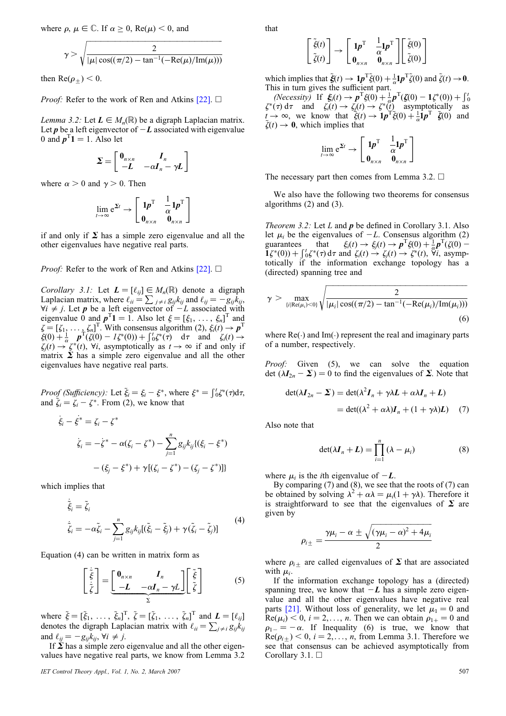where  $\rho$ ,  $\mu \in \mathbb{C}$ . If  $\alpha \geq 0$ , Re( $\mu$ ) < 0, and

$$
\gamma > \sqrt{\frac{2}{|\mu|\cos((\pi/2)-\tan^{-1}(-\text{Re}(\mu)/\text{Im}(\mu)))}}
$$

then  $\text{Re}(\rho_{\pm})$  < 0.

*Proof:* Refer to the work of Ren and Atkins [\[22\].](#page-7-0)  $\Box$ 

Lemma 3.2: Let  $L \in M_n(\mathbb{R})$  be a digraph Laplacian matrix. Let **p** be a left eigenvector of  $-L$  associated with eigenvalue 0 and  $p^T1 = 1$ . Also let

$$
\Sigma = \begin{bmatrix} \mathbf{0}_{n \times n} & I_n \\ -L & -\alpha I_n - \gamma L \end{bmatrix}
$$

where  $\alpha > 0$  and  $\gamma > 0$ . Then

$$
\lim_{t\to\infty} e^{\Sigma t} \to \left[\begin{array}{cc} 1p^T & \frac{1}{\alpha}1p^T\\ 0_{n\times n} & 0_{n\times n} \end{array}\right]
$$

if and only if  $\Sigma$  has a simple zero eigenvalue and all the other eigenvalues have negative real parts.

# *Proof:* Refer to the work of Ren and Atkins [\[22\].](#page-7-0)  $\Box$

Corollary 3.1: Let  $\mathbf{L} = [\ell_{ij}] \in M_n(\mathbb{R})$  denote a digraph Laplacian matrix, where  $\ell_{ii} = \sum_{j \neq i} g_{ij} k_{ij}$  and  $\ell_{ij} = -g_{ij} k_{ij}$ ,  $\forall i \neq j$ . Let p be a left eigenvector of  $-L$  associated with eigenvalue 0 and  $p^T \mathbf{1} = \tilde{1}$ . Also let  $\xi = [\xi_1, \ldots, \xi_n]^T$  and  $\zeta = [\zeta_1, \ldots, \zeta_n]^T$ . With consensus algorithm (2),  $\xi_i(t) \to p^T$  $\zeta(0) + \frac{1}{\alpha} p^T(\zeta(0) - I\zeta^*(0)) + \int_0^t \zeta^*(\tau) d\tau$  and  $\zeta_i(t) \to$  $\zeta_j(t) \to \zeta^*(t)$ ,  $\forall i$ , asymptotically as  $t \to \infty$  if and only if matrix  $\Sigma$  has a simple zero eigenvalue and all the other eigenvalues have negative real parts.

*Proof (Sufficiency)*: Let  $\tilde{\xi}_i = \xi_i - \xi^*$ , where  $\xi^* = \int_0^t \zeta^*(\tau) d\tau$ , and  $\tilde{\zeta}_i = \tilde{\zeta}_i - \zeta^*$ . From (2), we know that

$$
\dot{\xi}_i - \dot{\xi}^* = \zeta_i - \zeta^*
$$
\n
$$
\dot{\zeta}_i = -\dot{\zeta}^* - \alpha(\zeta_i - \zeta^*) - \sum_{j=1}^n g_{ij} k_{ij} \{ (\xi_i - \xi^*) - (\xi_j - \zeta^*) \}
$$
\n
$$
- (\xi_j - \xi^*) + \gamma [(\zeta_i - \zeta^*) - (\zeta_j - \zeta^*)]
$$

which implies that

$$
\dot{\tilde{\xi}}_i = \tilde{\zeta}_i
$$
\n
$$
\dot{\tilde{\zeta}}_i = -\alpha \tilde{\zeta}_i - \sum_{j=1}^n g_{ij} k_{ij} [(\tilde{\xi}_i - \tilde{\xi}_j) + \gamma (\tilde{\zeta}_i - \tilde{\zeta}_j)]
$$
\n(4)

Equation (4) can be written in matrix form as

$$
\begin{bmatrix} \dot{\tilde{\xi}} \\ \dot{\tilde{\zeta}} \end{bmatrix} = \underbrace{\begin{bmatrix} \mathbf{0}_{n \times n} & I_n \\ -L & -\alpha I_n - \gamma L \end{bmatrix}}_{\Sigma} \begin{bmatrix} \tilde{\xi} \\ \tilde{\zeta} \end{bmatrix}
$$
 (5)

where  $\tilde{\xi} = [\tilde{\xi}_1, \ldots, \tilde{\xi}_n]^T$ ,  $\tilde{\zeta} = [\tilde{\zeta}_1, \ldots, \tilde{\zeta}_n]^T$  and  $L = [\ell_{ij}]$ denotes the digraph Laplacian matrix with  $\ell_{ii} = \sum_{j \neq i} g_{ij} k_{ij}$ and  $\ell_{ij} = -g_{ij}k_{ij}$ ,  $\forall i \neq j$ .

If  $\Sigma$  has a simple zero eigenvalue and all the other eigenvalues have negative real parts, we know from Lemma 3.2

IET Control Theory Appl., Vol. 1, No. 2, March 2007 507

that

$$
\begin{bmatrix}\tilde{\xi}(t) \\
\tilde{\zeta}(t)\n\end{bmatrix} \rightarrow \begin{bmatrix}\n\mathbf{1}p^{\mathrm{T}} & \frac{1}{\alpha}\mathbf{1}p^{\mathrm{T}} \\
\mathbf{0}_{n\times n} & \mathbf{0}_{n\times n}\n\end{bmatrix} \begin{bmatrix}\n\tilde{\xi}(0) \\
\tilde{\zeta}(0)\n\end{bmatrix}
$$

which implies that  $\tilde{\xi}(t) \to 1p^{\mathrm{T}}\tilde{\xi}(0) + \frac{1}{\alpha}1p^{\mathrm{T}}\tilde{\zeta}(0)$  and  $\tilde{\zeta}(t) \to 0$ . This in turn gives the sufficient part.

(*Necessity*) If  $\xi(t) \to p^T \xi(0) + \frac{1}{\alpha} p^T (\xi(0) - 1 \xi^*(0)) + \int_0^t$  $\zeta^*(\tau)$  d $\tau$  and  $\zeta_i(t) \to \zeta_i(t) \to \zeta^*(t)$  asymptotically as  $t \to \infty$ , we know that  $\tilde{\xi}(t) \to \mathbf{1} p^{\mathsf{T}} \tilde{\xi}(0) + \frac{1}{\alpha} \mathbf{1} p^{\mathsf{T}} \tilde{\xi}(0)$  and  $\tilde{\zeta}(t) \rightarrow 0$ , which implies that

$$
\lim_{t\to\infty} e^{\Sigma t} \to \begin{bmatrix} 1 p^T & \frac{1}{\alpha} 1 p^T \\ 0_{n \times n} & 0_{n \times n} \end{bmatrix}
$$

The necessary part then comes from Lemma 3.2.  $\Box$ 

We also have the following two theorems for consensus algorithms (2) and (3).

*Theorem 3.2:* Let L and  $p$  be defined in Corollary 3.1. Also let  $\mu_i$  be the eigenvalues of  $-L$ . Consensus algorithm (2) guarantees that  $\xi_i(t) \to \xi_j(t) \to p^T \xi(0) + \frac{1}{\alpha} p^T (\xi(0) - 1 \zeta^*(0)) + \int_0^t \zeta^*(\tau) d\tau$  and  $\zeta_i(t) \to \zeta_j(t) \to \zeta^*(t)$ ,  $\forall i$ , asymptotically if the information exchange topology has a (directed) spanning tree and

$$
\gamma > \max_{\{i | \text{Re}(\mu_i) < 0\}} \sqrt{\frac{2}{|\mu_i| \cos((\pi/2) - \tan^{-1}(-\text{Re}(\mu_i)/\text{Im}(\mu_i)))}}
$$
\n(6)

where  $\text{Re}(\cdot)$  and  $\text{Im}(\cdot)$  represent the real and imaginary parts of a number, respectively.

Proof: Given (5), we can solve the equation det  $(\lambda I_{2n} - \Sigma) = 0$  to find the eigenvalues of  $\Sigma$ . Note that

$$
\det(\lambda \mathbf{I}_{2n} - \mathbf{\Sigma}) = \det(\lambda^2 \mathbf{I}_n + \gamma \lambda \mathbf{L} + \alpha \lambda \mathbf{I}_n + \mathbf{L})
$$
  
= 
$$
\det((\lambda^2 + \alpha \lambda) \mathbf{I}_n + (1 + \gamma \lambda) \mathbf{L}) \quad (7)
$$

Also note that

$$
\det(\lambda \boldsymbol{I}_n + \boldsymbol{L}) = \prod_{i=1}^n (\lambda - \mu_i)
$$
 (8)

where  $\mu_i$  is the *i*th eigenvalue of  $-L$ .

By comparing (7) and (8), we see that the roots of (7) can be obtained by solving  $\lambda^2 + \alpha \lambda = \mu_i(1 + \gamma \lambda)$ . Therefore it is straightforward to see that the eigenvalues of  $\Sigma$  are given by

$$
\rho_{i\pm} = \frac{\gamma\mu_i - \alpha \pm \sqrt{(\gamma\mu_i - \alpha)^2 + 4\mu_i}}{2}
$$

where  $\rho_{i+}$  are called eigenvalues of  $\Sigma$  that are associated with  $\mu_i$ .

If the information exchange topology has a (directed) spanning tree, we know that  $-L$  has a simple zero eigenvalue and all the other eigenvalues have negative real parts [\[21\]](#page-7-0). Without loss of generality, we let  $\mu_1 = 0$  and  $\text{Re}(\mu_i)$  < 0,  $i = 2, \ldots, n$ . Then we can obtain  $\rho_{1+} = 0$  and  $\rho_{1-} = -\alpha$ . If Inequality (6) is true, we know that  $\text{Re}(\rho_{i+})$  < 0,  $i = 2, \ldots, n$ , from Lemma 3.1. Therefore we see that consensus can be achieved asymptotically from Corollary 3.1.  $\Box$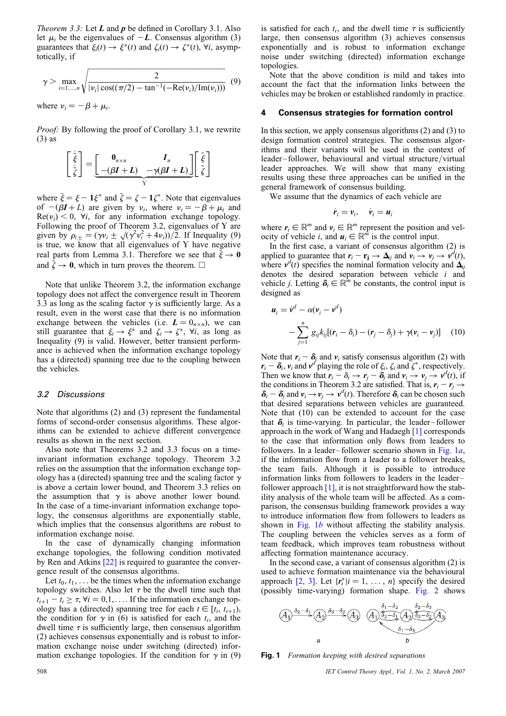*Theorem 3.3:* Let  $L$  and  $p$  be defined in Corollary 3.1. Also let  $\mu_i$  be the eigenvalues of  $-L$ . Consensus algorithm (3) guarantees that  $\xi_i(t) \to \xi^*(t)$  and  $\zeta_i(t) \to \zeta^*(t)$ ,  $\forall i$ , asymptotically, if

$$
\gamma > \max_{i=1,\dots,n} \sqrt{\frac{2}{|\nu_i| \cos((\pi/2) - \tan^{-1}(-\text{Re}(\nu_i)/\text{Im}(\nu_i)))}}
$$
(9)

where  $v_i = -\beta + \mu_i$ .

Proof: By following the proof of Corollary 3.1, we rewrite (3) as

$$
\begin{bmatrix} \dot{\tilde{\xi}} \\ \dot{\tilde{\zeta}} \end{bmatrix} = \underbrace{\begin{bmatrix} \mathbf{0}_{n \times n} & I_n \\ -(\beta I + L) & -\gamma(\beta I + L) \end{bmatrix}}_{Y} \begin{bmatrix} \tilde{\xi} \\ \tilde{\zeta} \end{bmatrix}
$$

where  $\tilde{\xi} = \xi - 1\xi^*$  and  $\tilde{\zeta} = \zeta - 1\zeta^*$ . Note that eigenvalues of  $-(\beta I + L)$  are given by  $v_i$ , where  $v_i = -\beta + \mu_i$  and  $\text{Re}(v_i) \leq 0$ ,  $\forall i$ , for any information exchange topology. Following the proof of Theorem 3.2, eigenvalues of Y are Following the proof of Theorem 3.2, eigenvalues of T are<br>given by  $\rho_{i\pm} = (\gamma v_i \pm \sqrt{(\gamma^2 v_i^2 + 4v_i)})/2$ . If Inequality (9) is true, we know that all eigenvalues of  $Y$  have negative real parts from Lemma 3.1. Therefore we see that  $\tilde{\xi} \to 0$ and  $\tilde{\zeta} \to 0$ , which in turn proves the theorem.  $\Box$ 

Note that unlike Theorem 3.2, the information exchange topology does not affect the convergence result in Theorem 3.3 as long as the scaling factor  $\gamma$  is sufficiently large. As a result, even in the worst case that there is no information exchange between the vehicles (i.e.  $L = 0_{n \times n}$ ), we can still guarantee that  $\xi_i \to \xi^*$  and  $\zeta_i \to \zeta^*$ ,  $\forall i$ , as long as Inequality (9) is valid. However, better transient performance is achieved when the information exchange topology has a (directed) spanning tree due to the coupling between the vehicles.

# 3.2 Discussions

Note that algorithms (2) and (3) represent the fundamental forms of second-order consensus algorithms. These algorithms can be extended to achieve different convergence results as shown in the next section.

Also note that Theorems 3.2 and 3.3 focus on a timeinvariant information exchange topology. Theorem 3.2 relies on the assumption that the information exchange topology has a (directed) spanning tree and the scaling factor  $\gamma$ is above a certain lower bound, and Theorem 3.3 relies on the assumption that  $\gamma$  is above another lower bound. In the case of a time-invariant information exchange topology, the consensus algorithms are exponentially stable, which implies that the consensus algorithms are robust to information exchange noise.

In the case of dynamically changing information exchange topologies, the following condition motivated by Ren and Atkins [\[22\]](#page-7-0) is required to guarantee the convergence result of the consensus algorithms.

Let  $t_0, t_1, \ldots$  be the times when the information exchange topology switches. Also let  $\tau$  be the dwell time such that  $t_{i+1} - t_i \geq \tau$ ,  $\forall i = 0,1,...$  If the information exchange topology has a (directed) spanning tree for each  $t \in [t_i, t_{i+1}),$ the condition for  $\gamma$  in (6) is satisfied for each  $t_i$ , and the dwell time  $\tau$  is sufficiently large, then consensus algorithm (2) achieves consensus exponentially and is robust to information exchange noise under switching (directed) information exchange topologies. If the condition for  $\gamma$  in (9) is satisfied for each  $t_i$ , and the dwell time  $\tau$  is sufficiently large, then consensus algorithm (3) achieves consensus exponentially and is robust to information exchange noise under switching (directed) information exchange topologies.

Note that the above condition is mild and takes into account the fact that the information links between the vehicles may be broken or established randomly in practice.

### 4 Consensus strategies for formation control

In this section, we apply consensus algorithms (2) and (3) to design formation control strategies. The consensus algorithms and their variants will be used in the context of leader – follower, behavioural and virtual structure/virtual leader approaches. We will show that many existing results using these three approaches can be unified in the general framework of consensus building.

We assume that the dynamics of each vehicle are

$$
\dot{\boldsymbol{r}}_i = \boldsymbol{v}_i, \quad \dot{\boldsymbol{v}}_i = \boldsymbol{u}_i
$$

where  $r_i \in \mathbb{R}^m$  and  $v_i \in \mathbb{R}^m$  represent the position and velocity of vehicle *i*, and  $u_i \in \mathbb{R}^m$  is the control input.

In the first case, a variant of consensus algorithm (2) is applied to guarantee that  $\mathbf{r}_i - \mathbf{r}_j \rightarrow \Delta_{ij}$  and  $\mathbf{v}_i \rightarrow \mathbf{v}_j \rightarrow \mathbf{v}^d(t)$ , where  $v^d(t)$  specifies the nominal formation velocity and  $\Delta_{ij}$ denotes the desired separation between vehicle  $i$  and vehicle *i*. Letting  $\delta_i \in \mathbb{R}^m$  be constants, the control input is designed as

$$
\mathbf{u}_i = \dot{\mathbf{v}}^d - \alpha(\mathbf{v}_i - \mathbf{v}^d)
$$
  
- 
$$
\sum_{j=1}^n g_{ij} k_{ij} [(\mathbf{r}_i - \delta_i) - (\mathbf{r}_j - \delta_j) + \gamma(\mathbf{v}_i - \mathbf{v}_j)] \quad (10)
$$

Note that  $r_i - \delta_i$  and  $v_i$  satisfy consensus algorithm (2) with  $r_i - \delta_i$ ,  $v_i$  and  $v^d$  playing the role of  $\xi_i$ ,  $\zeta_i$  and  $\zeta^*$ , respectively. Then we know that  $\mathbf{r}_i - \delta_i \to \mathbf{r}_j - \delta_j$  and  $\mathbf{v}_i \to \mathbf{v}_j \to \mathbf{v}^d(t)$ , if the conditions in Theorem 3.2 are satisfied. That is,  $r_i - r_j \rightarrow$  $\delta_i - \delta_j$  and  $v_i \rightarrow v_j \rightarrow v^d(t)$ . Therefore  $\delta_i$  can be chosen such that desired separations between vehicles are guaranteed. Note that (10) can be extended to account for the case that  $\delta_i$  is time-varying. In particular, the leader-follower approach in the work of Wang and Hadaegh [\[1\]](#page-7-0) corresponds to the case that information only flows from leaders to followers. In a leader-follower scenario shown in Fig.  $1a$ , if the information flow from a leader to a follower breaks, the team fails. Although it is possible to introduce information links from followers to leaders in the leader-follower approach [\[1\]](#page-7-0), it is not straightforward how the stability analysis of the whole team will be affected. As a comparison, the consensus building framework provides a way to introduce information flow from followers to leaders as shown in Fig.  $1b$  without affecting the stability analysis. The coupling between the vehicles serves as a form of team feedback, which improves team robustness without affecting formation maintenance accuracy.

In the second case, a variant of consensus algorithm (2) is used to achieve formation maintenance via the behavioural approach [\[2, 3\].](#page-7-0) Let  $\{r_i^* | i = 1, \ldots, n\}$  specify the desired (possibly time-varying) formation shape. [Fig. 2](#page-4-0) shows



Fig. 1 Formation keeping with desired separations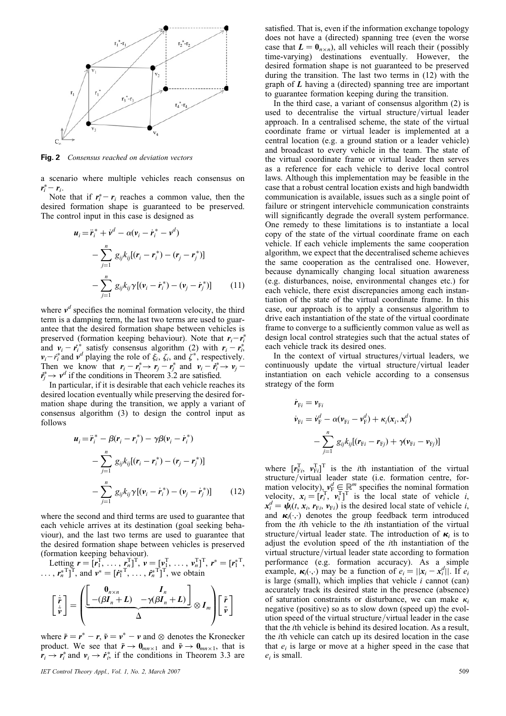<span id="page-4-0"></span>

Fig. 2 Consensus reached on deviation vectors

a scenario where multiple vehicles reach consensus on  $r_i^*-r_i$ .

Note that if  $r_i^* - r_i$  reaches a common value, then the desired formation shape is guaranteed to be preserved. The control input in this case is designed as

$$
\mathbf{u}_i = \ddot{\mathbf{r}}_i^* + \dot{\mathbf{v}}^d - \alpha (\mathbf{v}_i - \dot{\mathbf{r}}_i^* - \mathbf{v}^d)
$$
  

$$
- \sum_{j=1}^n g_{ij} k_{ij} [(\mathbf{r}_i - \mathbf{r}_i^*) - (\mathbf{r}_j - \mathbf{r}_j^*)]
$$
  

$$
- \sum_{j=1}^n g_{ij} k_{ij} \gamma [(\mathbf{v}_i - \dot{\mathbf{r}}_i^*) - (\mathbf{v}_j - \dot{\mathbf{r}}_j^*)]
$$
(11)

where  $v^d$  specifies the nominal formation velocity, the third term is a damping term, the last two terms are used to guarantee that the desired formation shape between vehicles is preserved (formation keeping behaviour). Note that  $r_i - r_i^*$ and  $v_i - r_i^*$  satisfy consensus algorithm (2) with  $r_i - r_i^*$  $v_i - r_i^*$  and  $v^d$  playing the role of  $\xi_i$ ,  $\zeta_i$ , and  $\zeta^*$ , respectively. Then we know that  $r_i - r_i^* \rightarrow r_j - r_j^*$  and  $v_i - r_i^* \rightarrow v_j$  $\vec{r}_j^* \rightarrow \vec{v}^d$  if the conditions in Theorem 3.2 are satisfied.

In particular, if it is desirable that each vehicle reaches its desired location eventually while preserving the desired formation shape during the transition, we apply a variant of consensus algorithm (3) to design the control input as follows

$$
\mathbf{u}_i = \ddot{\mathbf{r}}_i^* - \beta(\mathbf{r}_i - \mathbf{r}_i^*) - \gamma \beta(\mathbf{v}_i - \dot{\mathbf{r}}_i^*)
$$
  

$$
- \sum_{j=1}^n g_{ij} k_{ij} [(\mathbf{r}_i - \mathbf{r}_i^*) - (\mathbf{r}_j - \mathbf{r}_j^*)]
$$
  

$$
- \sum_{j=1}^n g_{ij} k_{ij} \gamma [(\mathbf{v}_i - \dot{\mathbf{r}}_i^*) - (\mathbf{v}_j - \dot{\mathbf{r}}_j^*)]
$$
(12)

where the second and third terms are used to guarantee that each vehicle arrives at its destination (goal seeking behaviour), and the last two terms are used to guarantee that the desired formation shape between vehicles is preserved (formation keeping behaviour).

Letting  $\mathbf{r} = [\mathbf{r}_1^T, \dots, \mathbf{r}_n^T]^T, \mathbf{v} = [\mathbf{v}_1^T, \dots, \mathbf{v}_n^T]^T, \mathbf{r}^* = [\mathbf{r}_1^*^T, \dots, \mathbf{v}_n^T]^T$  $\ldots$ ,  $\mathbf{r}_n^*$ <sup>T</sup> $\overline{\mathbf{I}}^T$ , and  $\mathbf{v}^* = [\mathbf{r}_1^*$ <sup>T</sup>,  $\ldots$ ,  $\mathbf{r}_n^*$ <sup>T</sup> $\overline{\mathbf{I}}^T$ , we obtain  $\mathbf{0}_{n\times n}$   $\mathbf{I}_n$  $\sqrt{1}$  $\overline{1}$  $\mathbf{r}$ 

$$
\begin{bmatrix} \dot{\tilde{r}} \\ \dot{\tilde{v}} \end{bmatrix} = \left( \frac{\begin{bmatrix} \dot{r} \\ -(\beta I_n + L) & -\gamma(\beta I_n + L) \end{bmatrix}}{\Delta} \otimes I_m \right) \begin{bmatrix} \tilde{r} \\ \tilde{v} \end{bmatrix}
$$

where  $\tilde{\mathbf{r}} = \mathbf{r}^* - \mathbf{r}$ ,  $\tilde{\mathbf{v}} = \mathbf{v}^* - \mathbf{v}$  and  $\otimes$  denotes the Kronecker product. We see that  $\tilde{r} \rightarrow 0_{mn \times 1}$  and  $\tilde{v} \rightarrow 0_{mn \times 1}$ , that is  $\mathbf{r}_i \rightarrow \mathbf{r}_i^*$  and  $\mathbf{v}_i \rightarrow \dot{\mathbf{r}}_i^*$  if the conditions in Theorem 3.3 are

IET Control Theory Appl., Vol. 1, No. 2, March 2007 509

satisfied. That is, even if the information exchange topology does not have a (directed) spanning tree (even the worse case that  $L = \mathbf{0}_{n \times n}$ ), all vehicles will reach their (possibly time-varying) destinations eventually. However, the desired formation shape is not guaranteed to be preserved during the transition. The last two terms in (12) with the graph of  $L$  having a (directed) spanning tree are important to guarantee formation keeping during the transition.

In the third case, a variant of consensus algorithm (2) is used to decentralise the virtual structure/virtual leader approach. In a centralised scheme, the state of the virtual coordinate frame or virtual leader is implemented at a central location (e.g. a ground station or a leader vehicle) and broadcast to every vehicle in the team. The state of the virtual coordinate frame or virtual leader then serves as a reference for each vehicle to derive local control laws. Although this implementation may be feasible in the case that a robust central location exists and high bandwidth communication is available, issues such as a single point of failure or stringent intervehicle communication constraints will significantly degrade the overall system performance. One remedy to these limitations is to instantiate a local copy of the state of the virtual coordinate frame on each vehicle. If each vehicle implements the same cooperation algorithm, we expect that the decentralised scheme achieves the same cooperation as the centralised one. However, because dynamically changing local situation awareness (e.g. disturbances, noise, environmental changes etc.) for each vehicle, there exist discrepancies among each instantiation of the state of the virtual coordinate frame. In this case, our approach is to apply a consensus algorithm to drive each instantiation of the state of the virtual coordinate frame to converge to a sufficiently common value as well as design local control strategies such that the actual states of each vehicle track its desired ones.

In the context of virtual structures/virtual leaders, we continuously update the virtual structure/virtual leader instantiation on each vehicle according to a consensus strategy of the form

$$
\dot{\mathbf{r}}_{Fi} = \mathbf{v}_{Fi}
$$
\n
$$
\dot{\mathbf{v}}_{Fi} = \dot{\mathbf{v}}_F^d - \alpha(\mathbf{v}_{Fi} - \mathbf{v}_F^d) + \kappa_i(\mathbf{x}_i, \mathbf{x}_i^d)
$$
\n
$$
-\sum_{j=1}^n g_{ij} k_{ij} [(\mathbf{r}_{Fi} - \mathbf{r}_{Fj}) + \gamma(\mathbf{v}_{Fi} - \mathbf{v}_{Fj})]
$$

where  $[r_{Fi}^T$ ,  $v_{Fi}^T$ ]<sup>T</sup> is the *i*th instantiation of the virtual structure/virtual leader state (i.e. formation centre, formation velocity),  $v_F^d \in \mathbb{R}^m$  specifies the nominal formation velocity,  $x_i = [r_i^T, v_i^T]^T$  is the local state of vehicle i,  $x_i^d = \psi_i(t, x_i, r_{Fi}, v_{Fi})$  is the desired local state of vehicle i, and  $\kappa_i(\cdot,\cdot)$  denotes the group feedback term introduced from the ith vehicle to the ith instantiation of the virtual structure/virtual leader state. The introduction of  $\kappa_i$  is to adjust the evolution speed of the ith instantiation of the virtual structure/virtual leader state according to formation performance (e.g. formation accuracy). As a simple example,  $\kappa_i(\cdot, \cdot)$  may be a function of  $e_i = ||x_i - x_i^d||$ . If  $e_i$ is large (small), which implies that vehicle  $i$  cannot (can) accurately track its desired state in the presence (absence) of saturation constraints or disturbance, we can make  $\kappa_i$ negative (positive) so as to slow down (speed up) the evolution speed of the virtual structure/virtual leader in the case that the ith vehicle is behind its desired location. As a result, the ith vehicle can catch up its desired location in the case that  $e_i$  is large or move at a higher speed in the case that  $e_i$  is small.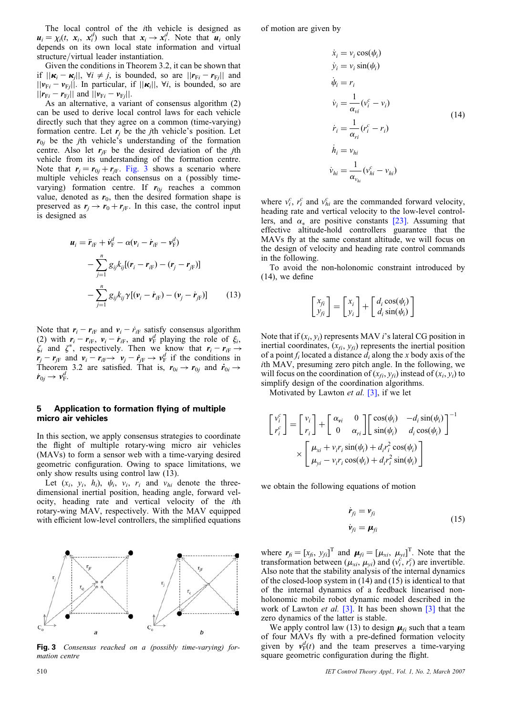The local control of the ith vehicle is designed as  $u_i = \chi_i(t, x_i, x_i^d)$  such that  $x_i \to x_i^d$ . Note that  $u_i$  only depends on its own local state information and virtual structure/virtual leader instantiation.

Given the conditions in Theorem 3.2, it can be shown that if  $||\kappa_i - \kappa_j||$ ,  $\forall i \neq j$ , is bounded, so are  $||r_{Fi} - r_{Fj}||$  and  $||\mathbf{v}_{Fi} - \mathbf{v}_{Fj}||$ . In particular, if  $||\mathbf{\kappa}_i||$ ,  $\forall i$ , is bounded, so are  $||r_{Fi} - r_{Fj}||$  and  $||v_{Fi} - v_{Fj}||$ .

As an alternative, a variant of consensus algorithm (2) can be used to derive local control laws for each vehicle directly such that they agree on a common (time-varying) formation centre. Let  $r_i$  be the jth vehicle's position. Let  $r_{0j}$  be the jth vehicle's understanding of the formation centre. Also let  $r_{jF}$  be the desired deviation of the *j*th vehicle from its understanding of the formation centre. Note that  $r_i = r_{0i} + r_{iF}$ . Fig. 3 shows a scenario where multiple vehicles reach consensus on a (possibly timevarying) formation centre. If  $r_{0j}$  reaches a common value, denoted as  $r_0$ , then the desired formation shape is preserved as  $r_i \rightarrow r_0 + r_{iF}$ . In this case, the control input is designed as

$$
\mathbf{u}_{i} = \ddot{\mathbf{r}}_{iF} + \dot{\mathbf{v}}_{F}^{d} - \alpha(\mathbf{v}_{i} - \dot{\mathbf{r}}_{iF} - \mathbf{v}_{F}^{d})
$$
  

$$
- \sum_{j=1}^{n} g_{ij} k_{ij} [(\mathbf{r}_{i} - \mathbf{r}_{iF}) - (\mathbf{r}_{j} - \mathbf{r}_{jF})]
$$
  

$$
- \sum_{j=1}^{n} g_{ij} k_{ij} \gamma [(\mathbf{v}_{i} - \dot{\mathbf{r}}_{iF}) - (\mathbf{v}_{j} - \dot{\mathbf{r}}_{jF})] \qquad (13)
$$

Note that  $r_i - r_{iF}$  and  $v_i - \dot{r}_{iF}$  satisfy consensus algorithm (2) with  $\vec{r}_i - \vec{r}_{iF}, \vec{v}_i - \vec{r}_{iF}$ , and  $v_F^d$  playing the role of  $\xi_i$ ,  $\zeta_i$  and  $\zeta^*$ , respectively. Then we know that  $r_i - r_{iF} \rightarrow$  $\mathbf{r}_j - \mathbf{r}_{jF}$  and  $\mathbf{v}_i - \mathbf{r}_{iF} \rightarrow \mathbf{v}_j - \dot{\mathbf{r}}_{jF} \rightarrow \mathbf{v}_F^d$  if the conditions in Theorem 3.2 are satisfied. That is,  $r_{0i} \rightarrow r_{0j}$  and  $\dot{r}_{0i} \rightarrow$  $\dot{r}_{0j} \rightarrow v_{\rm F}^d$ .

# 5 Application to formation flying of multiple micro air vehicles

In this section, we apply consensus strategies to coordinate the flight of multiple rotary-wing micro air vehicles (MAVs) to form a sensor web with a time-varying desired geometric configuration. Owing to space limitations, we only show results using control law (13).

Let  $(x_i, y_i, h_i)$ ,  $\psi_i, v_i, r_i$  and  $v_{hi}$  denote the threedimensional inertial position, heading angle, forward velocity, heading rate and vertical velocity of the ith rotary-wing MAV, respectively. With the MAV equipped with efficient low-level controllers, the simplified equations



Fig. 3 Consensus reached on a (possibly time-varying) formation centre

of motion are given by

$$
\dot{x}_i = v_i \cos(\psi_i)
$$
\n
$$
\dot{y}_i = v_i \sin(\psi_i)
$$
\n
$$
\dot{\psi}_i = r_i
$$
\n
$$
\dot{v}_i = \frac{1}{\alpha_{vi}} (v_i^c - v_i)
$$
\n
$$
\dot{r}_i = \frac{1}{\alpha_{ri}} (r_i^c - r_i)
$$
\n
$$
\dot{h}_i = v_{hi}
$$
\n
$$
\dot{v}_{hi} = \frac{1}{\alpha_{v_{hi}}} (v_{hi}^c - v_{hi})
$$
\n(14)

where  $v_i^c$ ,  $r_i^c$  and  $v_{hi}^c$  are the commanded forward velocity, heading rate and vertical velocity to the low-level controllers, and  $\alpha_{\ast}$  are positive constants [\[23\].](#page-7-0) Assuming that effective altitude-hold controllers guarantee that the MAVs fly at the same constant altitude, we will focus on the design of velocity and heading rate control commands in the following.

To avoid the non-holonomic constraint introduced by (14), we define

$$
\begin{bmatrix} x_{fi} \\ y_{fi} \end{bmatrix} = \begin{bmatrix} x_i \\ y_i \end{bmatrix} + \begin{bmatrix} d_i \cos(\psi_i) \\ d_i \sin(\psi_i) \end{bmatrix}
$$

Note that if  $(x_i, y_i)$  represents MAV *i*'s lateral CG position in inertial coordinates,  $(x_{fi}, y_{fi})$  represents the inertial position of a point  $f_i$  located a distance  $d_i$  along the x body axis of the ith MAV, presuming zero pitch angle. In the following, we will focus on the coordination of  $(x_{fi}, y_{fi})$  instead of  $(x_i, y_i)$  to simplify design of the coordination algorithms.

Motivated by Lawton *et al.*  $\lceil 3 \rceil$ , if we let

$$
\begin{bmatrix} v_i^c \\ r_i^c \end{bmatrix} = \begin{bmatrix} v_i \\ r_i \end{bmatrix} + \begin{bmatrix} \alpha_{vi} & 0 \\ 0 & \alpha_{ri} \end{bmatrix} \begin{bmatrix} \cos(\psi_i) & -d_i \sin(\psi_i) \\ \sin(\psi_i) & d_i \cos(\psi_i) \end{bmatrix}^{-1}
$$

$$
\times \begin{bmatrix} \mu_{xi} + v_i r_i \sin(\psi_i) + d_i r_i^2 \cos(\psi_i) \\ \mu_{yi} - v_i r_i \cos(\psi_i) + d_i r_i^2 \sin(\psi_i) \end{bmatrix}
$$

we obtain the following equations of motion

$$
\dot{\mathbf{r}}_{fi} = \mathbf{v}_{fi}
$$
\n
$$
\dot{\mathbf{v}}_{fi} = \mathbf{\mu}_{fi}
$$
\n(15)

where  $r_{fi} = [x_{fi}, y_{fi}]^T$  and  $\boldsymbol{\mu}_{fi} = [\mu_{xi}, \mu_{yi}]^T$ . Note that the transformation between  $(\mu_{xi}, \mu_{yi})$  and  $(v_i^c, r_i^c)$  are invertible. Also note that the stability analysis of the internal dynamics of the closed-loop system in (14) and (15) is identical to that of the internal dynamics of a feedback linearised nonholonomic mobile robot dynamic model described in the work of Lawton *et al.* [\[3\].](#page-7-0) It has been shown [\[3\]](#page-7-0) that the zero dynamics of the latter is stable.

We apply control law (13) to design  $\mu_{fi}$  such that a team of four MAVs fly with a pre-defined formation velocity given by  $v_F^d(t)$  and the team preserves a time-varying square geometric configuration during the flight.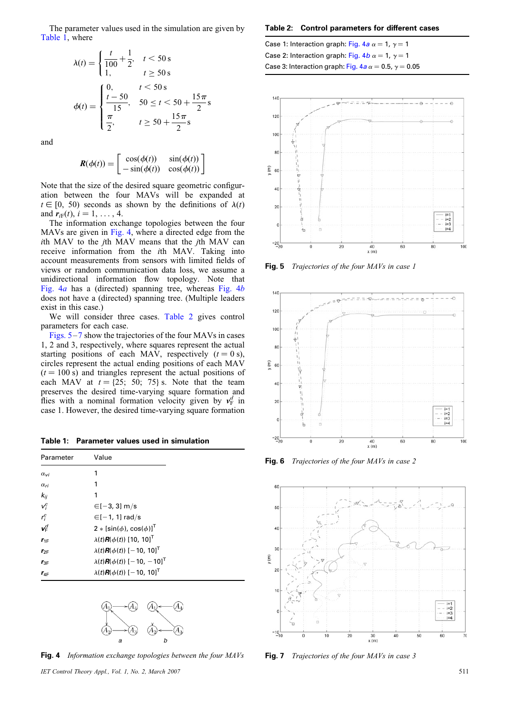<span id="page-6-0"></span>The parameter values used in the simulation are given by Table 1, where

$$
\lambda(t) = \begin{cases} \frac{t}{100} + \frac{1}{2}, & t < 50 \text{ s} \\ 1, & t \ge 50 \text{ s} \end{cases}
$$
\n
$$
\phi(t) = \begin{cases} 0, & t < 50 \text{ s} \\ \frac{t - 50}{15}, & 50 \le t < 50 + \frac{15\pi}{2} \text{ s} \\ \frac{\pi}{2}, & t \ge 50 + \frac{15\pi}{2} \text{ s} \end{cases}
$$

and

$$
\boldsymbol{R}(\phi(t)) = \begin{bmatrix} \cos(\phi(t)) & \sin(\phi(t)) \\ -\sin(\phi(t)) & \cos(\phi(t)) \end{bmatrix}
$$

Note that the size of the desired square geometric configuration between the four MAVs will be expanded at  $t \in [0, 50)$  seconds as shown by the definitions of  $\lambda(t)$ and  $r_{iF}(t)$ ,  $i = 1, ..., 4$ .

The information exchange topologies between the four MAVs are given in Fig. 4, where a directed edge from the ith MAV to the jth MAV means that the jth MAV can receive information from the ith MAV. Taking into account measurements from sensors with limited fields of views or random communication data loss, we assume a unidirectional information flow topology. Note that Fig.  $4a$  has a (directed) spanning tree, whereas Fig.  $4b$ does not have a (directed) spanning tree. (Multiple leaders exist in this case.)

We will consider three cases. Table 2 gives control parameters for each case.

Figs. 5–7 show the trajectories of the four MAVs in cases 1, 2 and 3, respectively, where squares represent the actual starting positions of each MAV, respectively  $(t = 0 s)$ , circles represent the actual ending positions of each MAV  $(t = 100 \text{ s})$  and triangles represent the actual positions of each MAV at  $t = \{25, 50, 75\}$  s. Note that the team preserves the desired time-varying square formation and flies with a nominal formation velocity given by  $v_F^d$  in case 1. However, the desired time-varying square formation

Table 1: Parameter values used in simulation

| Parameter            | Value                                                      |  |
|----------------------|------------------------------------------------------------|--|
| $\alpha_{\rm\bf vi}$ | 1                                                          |  |
| $\alpha_{ri}$        | 1                                                          |  |
| $k_{ij}$             | 1                                                          |  |
| $v_i^c$              | $\in$ [-3, 3] m/s                                          |  |
| $r_i^c$              | $\in$ [-1, 1] rad/s                                        |  |
| $v_{\mathrm{F}}^d$   | $2 * [sin(\phi), cos(\phi)]^T$                             |  |
| $r_{1F}$             | $\lambda(t)$ <b>R</b> ( $\phi(t)$ ) [10, 10] <sup>T</sup>  |  |
| $r_{2F}$             | $\lambda(t)$ <b>R</b> ( $\phi(t)$ ) [-10, 10] <sup>T</sup> |  |
| $r_{3F}$             | $\lambda(t)$ <b>R</b> $(\phi(t))$ [-10, -10] <sup>T</sup>  |  |
| $r_{4F}$             | $\lambda(t)$ <b>R</b> ( $\phi(t)$ ) [-10, 10] <sup>T</sup> |  |

Fig. 4 Information exchange topologies between the four MAVs

IET Control Theory Appl., Vol. 1, No. 2, March 2007 511

# Table 2: Control parameters for different cases

Case 1: Interaction graph: Fig. 4a  $\alpha = 1$ ,  $\gamma = 1$ Case 2: Interaction graph: Fig. 4b  $\alpha$  = 1,  $\gamma$  = 1 Case 3: Interaction graph: Fig. 4a  $\alpha$  = 0.5,  $\gamma$  = 0.05



Fig. 5 Trajectories of the four MAVs in case 1



Fig. 6 Trajectories of the four MAVs in case 2



Fig. 7 Trajectories of the four MAVs in case 3